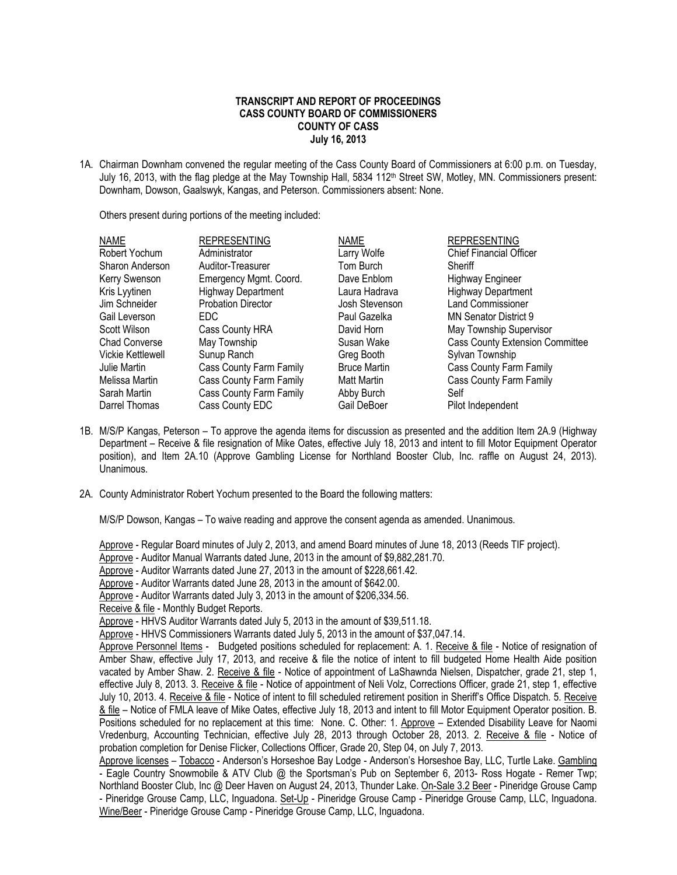## **TRANSCRIPT AND REPORT OF PROCEEDINGS CASS COUNTY BOARD OF COMMISSIONERS COUNTY OF CASS July 16, 2013**

1A. Chairman Downham convened the regular meeting of the Cass County Board of Commissioners at 6:00 p.m. on Tuesday, July 16, 2013, with the flag pledge at the May Township Hall, 5834 112<sup>th</sup> Street SW, Motley, MN. Commissioners present: Downham, Dowson, Gaalswyk, Kangas, and Peterson. Commissioners absent: None.

Others present during portions of the meeting included:

| <b>NAME</b>       | <b>REPRESENTING</b>       | <b>NAME</b>         | <b>REPRESENTING</b>                    |
|-------------------|---------------------------|---------------------|----------------------------------------|
| Robert Yochum     | Administrator             | Larry Wolfe         | <b>Chief Financial Officer</b>         |
| Sharon Anderson   | Auditor-Treasurer         | Tom Burch           | Sheriff                                |
| Kerry Swenson     | Emergency Mgmt. Coord.    | Dave Enblom         | <b>Highway Engineer</b>                |
| Kris Lyytinen     | <b>Highway Department</b> | Laura Hadrava       | <b>Highway Department</b>              |
| Jim Schneider     | <b>Probation Director</b> | Josh Stevenson      | <b>Land Commissioner</b>               |
| Gail Leverson     | EDC                       | Paul Gazelka        | MN Senator District 9                  |
| Scott Wilson      | Cass County HRA           | David Horn          | May Township Supervisor                |
| Chad Converse     | May Township              | Susan Wake          | <b>Cass County Extension Committee</b> |
| Vickie Kettlewell | Sunup Ranch               | Greg Booth          | Sylvan Township                        |
| Julie Martin      | Cass County Farm Family   | <b>Bruce Martin</b> | Cass County Farm Family                |
| Melissa Martin    | Cass County Farm Family   | <b>Matt Martin</b>  | Cass County Farm Family                |
| Sarah Martin      | Cass County Farm Family   | Abby Burch          | Self                                   |
| Darrel Thomas     | Cass County EDC           | Gail DeBoer         | Pilot Independent                      |

- 1B. M/S/P Kangas, Peterson To approve the agenda items for discussion as presented and the addition Item 2A.9 (Highway Department – Receive & file resignation of Mike Oates, effective July 18, 2013 and intent to fill Motor Equipment Operator position), and Item 2A.10 (Approve Gambling License for Northland Booster Club, Inc. raffle on August 24, 2013). Unanimous.
- 2A. County Administrator Robert Yochum presented to the Board the following matters:

M/S/P Dowson, Kangas – To waive reading and approve the consent agenda as amended. Unanimous.

Approve - Regular Board minutes of July 2, 2013, and amend Board minutes of June 18, 2013 (Reeds TIF project).

Approve - Auditor Manual Warrants dated June, 2013 in the amount of \$9,882,281.70.

Approve - Auditor Warrants dated June 27, 2013 in the amount of \$228,661.42.

Approve - Auditor Warrants dated June 28, 2013 in the amount of \$642.00.

Approve - Auditor Warrants dated July 3, 2013 in the amount of \$206,334.56.

Receive & file - Monthly Budget Reports.

Approve - HHVS Commissioners Warrants dated July 5, 2013 in the amount of \$37,047.14.

Approve Personnel Items - Budgeted positions scheduled for replacement: A. 1. Receive & file - Notice of resignation of Amber Shaw, effective July 17, 2013, and receive & file the notice of intent to fill budgeted Home Health Aide position vacated by Amber Shaw. 2. Receive & file - Notice of appointment of LaShawnda Nielsen, Dispatcher, grade 21, step 1, effective July 8, 2013. 3. Receive & file - Notice of appointment of Neli Volz, Corrections Officer, grade 21, step 1, effective July 10, 2013. 4. Receive & file - Notice of intent to fill scheduled retirement position in Sheriff's Office Dispatch. 5. Receive & file – Notice of FMLA leave of Mike Oates, effective July 18, 2013 and intent to fill Motor Equipment Operator position. B. Positions scheduled for no replacement at this time: None. C. Other: 1. Approve – Extended Disability Leave for Naomi Vredenburg, Accounting Technician, effective July 28, 2013 through October 28, 2013. 2. Receive & file - Notice of probation completion for Denise Flicker, Collections Officer, Grade 20, Step 04, on July 7, 2013.

Approve licenses – Tobacco - Anderson's Horseshoe Bay Lodge - Anderson's Horseshoe Bay, LLC, Turtle Lake. Gambling - Eagle Country Snowmobile & ATV Club @ the Sportsman's Pub on September 6, 2013- Ross Hogate - Remer Twp; Northland Booster Club, Inc @ Deer Haven on August 24, 2013, Thunder Lake. On-Sale 3.2 Beer - Pineridge Grouse Camp - Pineridge Grouse Camp, LLC, Inguadona. Set-Up - Pineridge Grouse Camp - Pineridge Grouse Camp, LLC, Inguadona. Wine/Beer - Pineridge Grouse Camp - Pineridge Grouse Camp, LLC, Inguadona.

Approve - HHVS Auditor Warrants dated July 5, 2013 in the amount of \$39,511.18.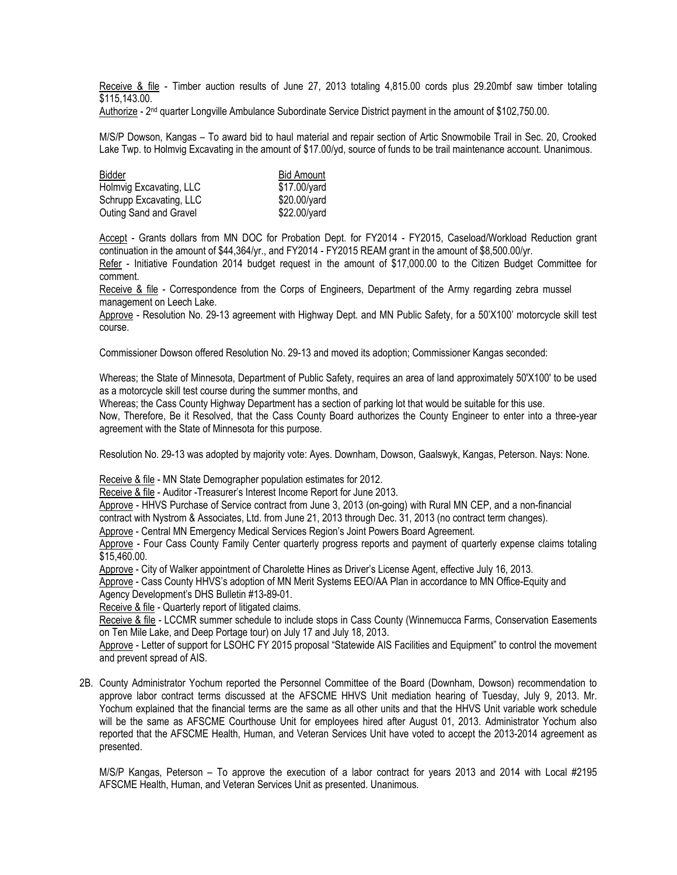Receive & file - Timber auction results of June 27, 2013 totaling 4,815.00 cords plus 29.20mbf saw timber totaling \$115,143.00.

Authorize - 2<sup>nd</sup> quarter Longville Ambulance Subordinate Service District payment in the amount of \$102,750.00.

M/S/P Dowson, Kangas – To award bid to haul material and repair section of Artic Snowmobile Trail in Sec. 20, Crooked Lake Twp. to Holmvig Excavating in the amount of \$17.00/yd, source of funds to be trail maintenance account. Unanimous.

| Bidder                  | <b>Bid Amount</b> |
|-------------------------|-------------------|
| Holmvig Excavating, LLC | \$17.00/yard      |
| Schrupp Excavating, LLC | \$20.00/yard      |
| Outing Sand and Gravel  | \$22.00/yard      |

Accept - Grants dollars from MN DOC for Probation Dept. for FY2014 - FY2015, Caseload/Workload Reduction grant continuation in the amount of \$44,364/yr., and FY2014 - FY2015 REAM grant in the amount of \$8,500.00/yr.

Refer - Initiative Foundation 2014 budget request in the amount of \$17,000.00 to the Citizen Budget Committee for comment.

Receive & file - Correspondence from the Corps of Engineers, Department of the Army regarding zebra mussel management on Leech Lake.

Approve - Resolution No. 29-13 agreement with Highway Dept. and MN Public Safety, for a 50'X100' motorcycle skill test course.

Commissioner Dowson offered Resolution No. 29-13 and moved its adoption; Commissioner Kangas seconded:

Whereas; the State of Minnesota, Department of Public Safety, requires an area of land approximately 50'X100' to be used as a motorcycle skill test course during the summer months, and

Whereas; the Cass County Highway Department has a section of parking lot that would be suitable for this use.

Now, Therefore, Be it Resolved, that the Cass County Board authorizes the County Engineer to enter into a three-year agreement with the State of Minnesota for this purpose.

Resolution No. 29-13 was adopted by majority vote: Ayes. Downham, Dowson, Gaalswyk, Kangas, Peterson. Nays: None.

Receive & file - MN State Demographer population estimates for 2012.

Receive & file - Auditor -Treasurer's Interest Income Report for June 2013.

Approve - HHVS Purchase of Service contract from June 3, 2013 (on-going) with Rural MN CEP, and a non-financial contract with Nystrom & Associates, Ltd. from June 21, 2013 through Dec. 31, 2013 (no contract term changes).

Approve - Central MN Emergency Medical Services Region's Joint Powers Board Agreement.

Approve - Four Cass County Family Center quarterly progress reports and payment of quarterly expense claims totaling \$15,460.00.

Approve - City of Walker appointment of Charolette Hines as Driver's License Agent, effective July 16, 2013.

Approve - Cass County HHVS's adoption of MN Merit Systems EEO/AA Plan in accordance to MN Office-Equity and Agency Development's DHS Bulletin #13-89-01.

Receive & file - Quarterly report of litigated claims.

Receive & file - LCCMR summer schedule to include stops in Cass County (Winnemucca Farms, Conservation Easements on Ten Mile Lake, and Deep Portage tour) on July 17 and July 18, 2013.

Approve - Letter of support for LSOHC FY 2015 proposal "Statewide AIS Facilities and Equipment" to control the movement and prevent spread of AIS.

2B. County Administrator Yochum reported the Personnel Committee of the Board (Downham, Dowson) recommendation to approve labor contract terms discussed at the AFSCME HHVS Unit mediation hearing of Tuesday, July 9, 2013. Mr. Yochum explained that the financial terms are the same as all other units and that the HHVS Unit variable work schedule will be the same as AFSCME Courthouse Unit for employees hired after August 01, 2013. Administrator Yochum also reported that the AFSCME Health, Human, and Veteran Services Unit have voted to accept the 2013-2014 agreement as presented.

M/S/P Kangas, Peterson – To approve the execution of a labor contract for years 2013 and 2014 with Local #2195 AFSCME Health, Human, and Veteran Services Unit as presented. Unanimous.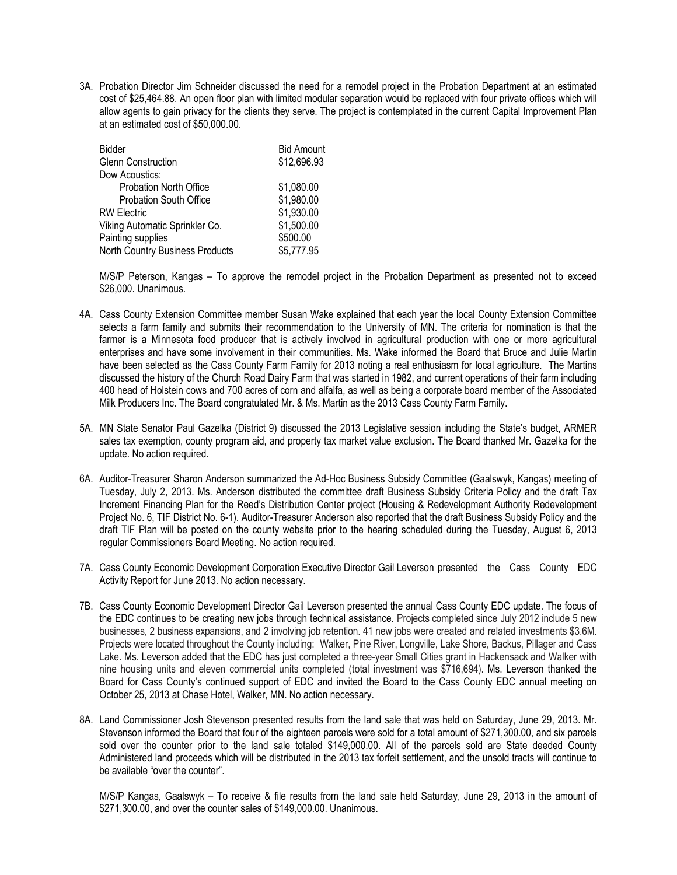3A. Probation Director Jim Schneider discussed the need for a remodel project in the Probation Department at an estimated cost of \$25,464.88. An open floor plan with limited modular separation would be replaced with four private offices which will allow agents to gain privacy for the clients they serve. The project is contemplated in the current Capital Improvement Plan at an estimated cost of \$50,000.00.

| <b>Bidder</b>                   | <b>Bid Amount</b> |
|---------------------------------|-------------------|
| <b>Glenn Construction</b>       | \$12,696.93       |
| Dow Acoustics:                  |                   |
| <b>Probation North Office</b>   | \$1,080.00        |
| <b>Probation South Office</b>   | \$1,980.00        |
| <b>RW Electric</b>              | \$1,930.00        |
| Viking Automatic Sprinkler Co.  | \$1,500.00        |
| Painting supplies               | \$500.00          |
| North Country Business Products | \$5,777.95        |

M/S/P Peterson, Kangas – To approve the remodel project in the Probation Department as presented not to exceed \$26,000. Unanimous.

- 4A. Cass County Extension Committee member Susan Wake explained that each year the local County Extension Committee selects a farm family and submits their recommendation to the University of MN. The criteria for nomination is that the farmer is a Minnesota food producer that is actively involved in agricultural production with one or more agricultural enterprises and have some involvement in their communities. Ms. Wake informed the Board that Bruce and Julie Martin have been selected as the Cass County Farm Family for 2013 noting a real enthusiasm for local agriculture. The Martins discussed the history of the Church Road Dairy Farm that was started in 1982, and current operations of their farm including 400 head of Holstein cows and 700 acres of corn and alfalfa, as well as being a corporate board member of the Associated Milk Producers Inc. The Board congratulated Mr. & Ms. Martin as the 2013 Cass County Farm Family.
- 5A. MN State Senator Paul Gazelka (District 9) discussed the 2013 Legislative session including the State's budget, ARMER sales tax exemption, county program aid, and property tax market value exclusion. The Board thanked Mr. Gazelka for the update. No action required.
- 6A. Auditor-Treasurer Sharon Anderson summarized the Ad-Hoc Business Subsidy Committee (Gaalswyk, Kangas) meeting of Tuesday, July 2, 2013. Ms. Anderson distributed the committee draft Business Subsidy Criteria Policy and the draft Tax Increment Financing Plan for the Reed's Distribution Center project (Housing & Redevelopment Authority Redevelopment Project No. 6, TIF District No. 6-1). Auditor-Treasurer Anderson also reported that the draft Business Subsidy Policy and the draft TIF Plan will be posted on the county website prior to the hearing scheduled during the Tuesday, August 6, 2013 regular Commissioners Board Meeting. No action required.
- 7A. Cass County Economic Development Corporation Executive Director Gail Leverson presented the Cass County EDC Activity Report for June 2013. No action necessary.
- 7B. Cass County Economic Development Director Gail Leverson presented the annual Cass County EDC update. The focus of the EDC continues to be creating new jobs through technical assistance. Projects completed since July 2012 include 5 new businesses, 2 business expansions, and 2 involving job retention. 41 new jobs were created and related investments \$3.6M. Projects were located throughout the County including: Walker, Pine River, Longville, Lake Shore, Backus, Pillager and Cass Lake. Ms. Leverson added that the EDC has just completed a three-year Small Cities grant in Hackensack and Walker with nine housing units and eleven commercial units completed (total investment was \$716,694). Ms. Leverson thanked the Board for Cass County's continued support of EDC and invited the Board to the Cass County EDC annual meeting on October 25, 2013 at Chase Hotel, Walker, MN. No action necessary.
- 8A. Land Commissioner Josh Stevenson presented results from the land sale that was held on Saturday, June 29, 2013. Mr. Stevenson informed the Board that four of the eighteen parcels were sold for a total amount of \$271,300.00, and six parcels sold over the counter prior to the land sale totaled \$149,000.00. All of the parcels sold are State deeded County Administered land proceeds which will be distributed in the 2013 tax forfeit settlement, and the unsold tracts will continue to be available "over the counter".

M/S/P Kangas, Gaalswyk – To receive & file results from the land sale held Saturday, June 29, 2013 in the amount of \$271,300.00, and over the counter sales of \$149,000.00. Unanimous.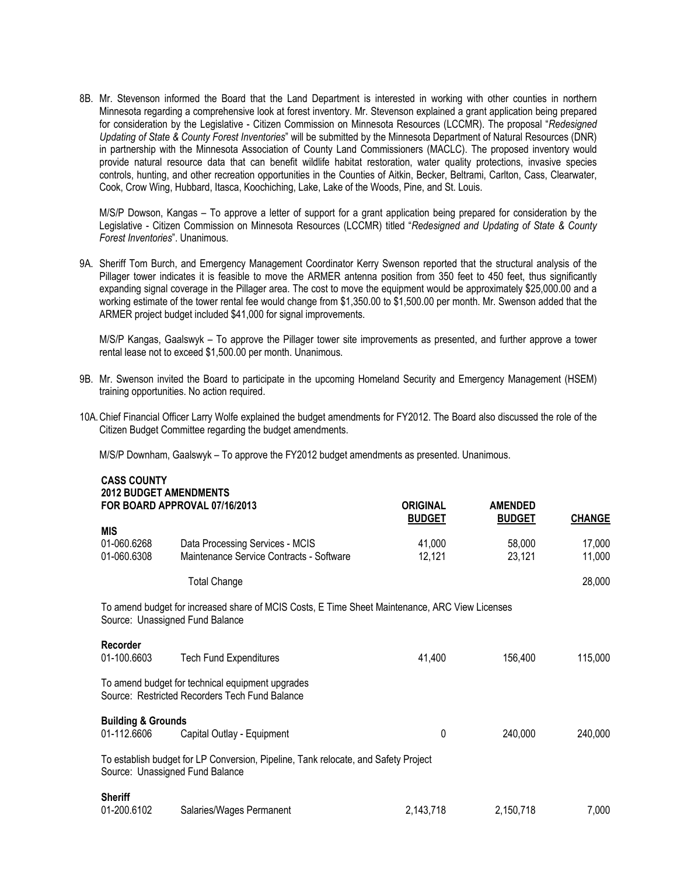8B. Mr. Stevenson informed the Board that the Land Department is interested in working with other counties in northern Minnesota regarding a comprehensive look at forest inventory. Mr. Stevenson explained a grant application being prepared for consideration by the Legislative - Citizen Commission on Minnesota Resources (LCCMR). The proposal "*Redesigned Updating of State & County Forest Inventories*" will be submitted by the Minnesota Department of Natural Resources (DNR) in partnership with the Minnesota Association of County Land Commissioners (MACLC). The proposed inventory would provide natural resource data that can benefit wildlife habitat restoration, water quality protections, invasive species controls, hunting, and other recreation opportunities in the Counties of Aitkin, Becker, Beltrami, Carlton, Cass, Clearwater, Cook, Crow Wing, Hubbard, Itasca, Koochiching, Lake, Lake of the Woods, Pine, and St. Louis.

M/S/P Dowson, Kangas – To approve a letter of support for a grant application being prepared for consideration by the Legislative - Citizen Commission on Minnesota Resources (LCCMR) titled "*Redesigned and Updating of State & County Forest Inventories*". Unanimous.

9A. Sheriff Tom Burch, and Emergency Management Coordinator Kerry Swenson reported that the structural analysis of the Pillager tower indicates it is feasible to move the ARMER antenna position from 350 feet to 450 feet, thus significantly expanding signal coverage in the Pillager area. The cost to move the equipment would be approximately \$25,000.00 and a working estimate of the tower rental fee would change from \$1,350.00 to \$1,500.00 per month. Mr. Swenson added that the ARMER project budget included \$41,000 for signal improvements.

M/S/P Kangas, Gaalswyk – To approve the Pillager tower site improvements as presented, and further approve a tower rental lease not to exceed \$1,500.00 per month. Unanimous.

- 9B. Mr. Swenson invited the Board to participate in the upcoming Homeland Security and Emergency Management (HSEM) training opportunities. No action required.
- 10A.Chief Financial Officer Larry Wolfe explained the budget amendments for FY2012. The Board also discussed the role of the Citizen Budget Committee regarding the budget amendments.

M/S/P Downham, Gaalswyk – To approve the FY2012 budget amendments as presented. Unanimous.

**CASS COUNTY**

| <b>CASS COUNTY</b><br><b>2012 BUDGET AMENDMENTS</b> | FOR BOARD APPROVAL 07/16/2013                                                                      | <b>ORIGINAL</b><br><b>BUDGET</b> | <b>AMENDED</b><br><b>BUDGET</b> | <b>CHANGE</b>    |
|-----------------------------------------------------|----------------------------------------------------------------------------------------------------|----------------------------------|---------------------------------|------------------|
| <b>MIS</b>                                          |                                                                                                    |                                  |                                 |                  |
| 01-060.6268<br>01-060.6308                          | Data Processing Services - MCIS<br>Maintenance Service Contracts - Software                        | 41,000<br>12,121                 | 58,000<br>23,121                | 17,000<br>11,000 |
|                                                     | <b>Total Change</b>                                                                                |                                  |                                 | 28,000           |
| Source: Unassigned Fund Balance                     | To amend budget for increased share of MCIS Costs, E Time Sheet Maintenance, ARC View Licenses     |                                  |                                 |                  |
| Recorder<br>01-100.6603                             | <b>Tech Fund Expenditures</b>                                                                      | 41,400                           | 156,400                         | 115,000          |
|                                                     | To amend budget for technical equipment upgrades<br>Source: Restricted Recorders Tech Fund Balance |                                  |                                 |                  |
| <b>Building &amp; Grounds</b><br>01-112.6606        | Capital Outlay - Equipment                                                                         | 0                                | 240,000                         | 240,000          |
| Source: Unassigned Fund Balance                     | To establish budget for LP Conversion, Pipeline, Tank relocate, and Safety Project                 |                                  |                                 |                  |
| <b>Sheriff</b><br>01-200.6102                       | Salaries/Wages Permanent                                                                           | 2,143,718                        | 2,150,718                       | 7,000            |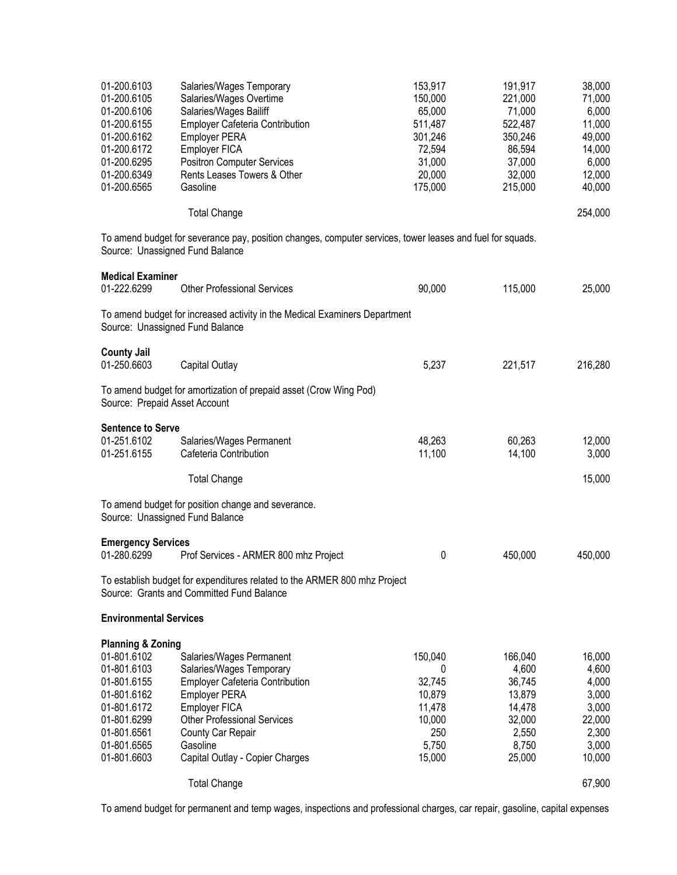| 01-200.6103<br>01-200.6105<br>01-200.6106<br>01-200.6155<br>01-200.6162<br>01-200.6172<br>01-200.6295<br>01-200.6349<br>01-200.6565                                 | Salaries/Wages Temporary<br>Salaries/Wages Overtime<br>Salaries/Wages Bailiff<br>Employer Cafeteria Contribution<br><b>Employer PERA</b><br>Employer FICA<br><b>Positron Computer Services</b><br>Rents Leases Towers & Other<br>Gasoline         | 153,917<br>150,000<br>65,000<br>511,487<br>301,246<br>72,594<br>31,000<br>20,000<br>175,000 | 191,917<br>221,000<br>71,000<br>522,487<br>350,246<br>86,594<br>37,000<br>32,000<br>215,000 | 38,000<br>71,000<br>6,000<br>11,000<br>49,000<br>14,000<br>6,000<br>12,000<br>40,000 |
|---------------------------------------------------------------------------------------------------------------------------------------------------------------------|---------------------------------------------------------------------------------------------------------------------------------------------------------------------------------------------------------------------------------------------------|---------------------------------------------------------------------------------------------|---------------------------------------------------------------------------------------------|--------------------------------------------------------------------------------------|
|                                                                                                                                                                     | <b>Total Change</b>                                                                                                                                                                                                                               |                                                                                             |                                                                                             | 254,000                                                                              |
| Source: Unassigned Fund Balance                                                                                                                                     | To amend budget for severance pay, position changes, computer services, tower leases and fuel for squads.                                                                                                                                         |                                                                                             |                                                                                             |                                                                                      |
| <b>Medical Examiner</b><br>01-222.6299                                                                                                                              | <b>Other Professional Services</b>                                                                                                                                                                                                                | 90,000                                                                                      | 115,000                                                                                     | 25,000                                                                               |
| Source: Unassigned Fund Balance                                                                                                                                     | To amend budget for increased activity in the Medical Examiners Department                                                                                                                                                                        |                                                                                             |                                                                                             |                                                                                      |
| <b>County Jail</b><br>01-250.6603                                                                                                                                   | Capital Outlay                                                                                                                                                                                                                                    | 5,237                                                                                       | 221,517                                                                                     | 216,280                                                                              |
| Source: Prepaid Asset Account                                                                                                                                       | To amend budget for amortization of prepaid asset (Crow Wing Pod)                                                                                                                                                                                 |                                                                                             |                                                                                             |                                                                                      |
| <b>Sentence to Serve</b><br>01-251.6102<br>01-251.6155                                                                                                              | Salaries/Wages Permanent<br>Cafeteria Contribution                                                                                                                                                                                                | 48,263<br>11,100                                                                            | 60,263<br>14,100                                                                            | 12,000<br>3,000                                                                      |
|                                                                                                                                                                     | <b>Total Change</b>                                                                                                                                                                                                                               |                                                                                             |                                                                                             | 15,000                                                                               |
| Source: Unassigned Fund Balance                                                                                                                                     | To amend budget for position change and severance.                                                                                                                                                                                                |                                                                                             |                                                                                             |                                                                                      |
| <b>Emergency Services</b><br>01-280.6299                                                                                                                            | Prof Services - ARMER 800 mhz Project                                                                                                                                                                                                             | 0                                                                                           | 450,000                                                                                     | 450,000                                                                              |
|                                                                                                                                                                     | To establish budget for expenditures related to the ARMER 800 mhz Project<br>Source: Grants and Committed Fund Balance                                                                                                                            |                                                                                             |                                                                                             |                                                                                      |
| <b>Environmental Services</b>                                                                                                                                       |                                                                                                                                                                                                                                                   |                                                                                             |                                                                                             |                                                                                      |
| <b>Planning &amp; Zoning</b><br>01-801.6102<br>01-801.6103<br>01-801.6155<br>01-801.6162<br>01-801.6172<br>01-801.6299<br>01-801.6561<br>01-801.6565<br>01-801.6603 | Salaries/Wages Permanent<br>Salaries/Wages Temporary<br>Employer Cafeteria Contribution<br><b>Employer PERA</b><br>Employer FICA<br><b>Other Professional Services</b><br><b>County Car Repair</b><br>Gasoline<br>Capital Outlay - Copier Charges | 150,040<br>0<br>32,745<br>10,879<br>11,478<br>10,000<br>250<br>5,750<br>15,000              | 166,040<br>4,600<br>36,745<br>13,879<br>14,478<br>32,000<br>2,550<br>8,750<br>25,000        | 16,000<br>4,600<br>4,000<br>3,000<br>3,000<br>22,000<br>2,300<br>3,000<br>10,000     |
|                                                                                                                                                                     | <b>Total Change</b>                                                                                                                                                                                                                               |                                                                                             |                                                                                             | 67,900                                                                               |

To amend budget for permanent and temp wages, inspections and professional charges, car repair, gasoline, capital expenses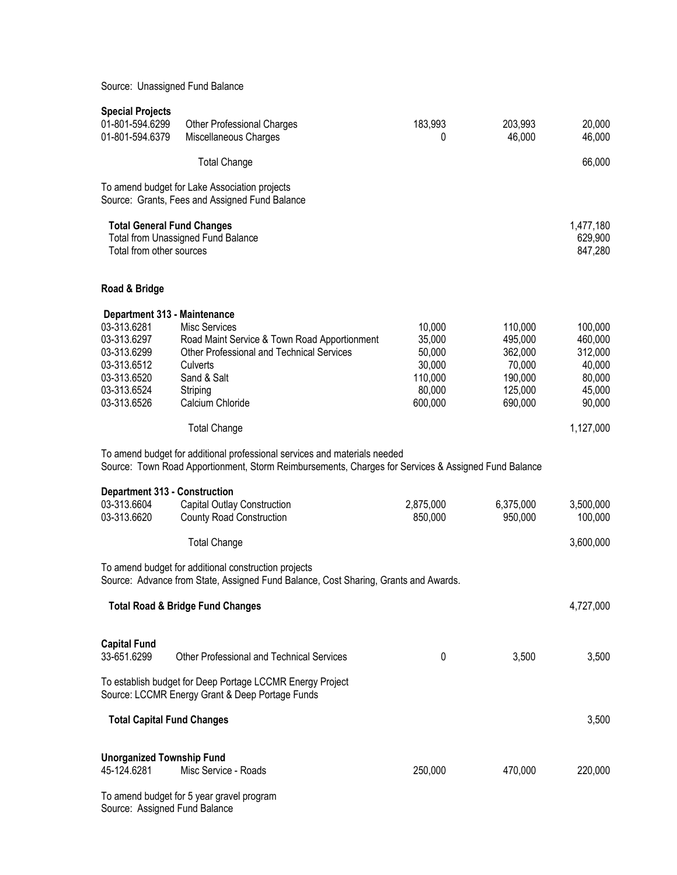Source: Unassigned Fund Balance

| <b>Special Projects</b>                                                                                                               |                                                                                                                                                                                     |                                                                      |                                                                          |                                                                       |
|---------------------------------------------------------------------------------------------------------------------------------------|-------------------------------------------------------------------------------------------------------------------------------------------------------------------------------------|----------------------------------------------------------------------|--------------------------------------------------------------------------|-----------------------------------------------------------------------|
| 01-801-594.6299<br>01-801-594.6379                                                                                                    | <b>Other Professional Charges</b><br>Miscellaneous Charges                                                                                                                          | 183,993<br>0                                                         | 203,993<br>46,000                                                        | 20,000<br>46,000                                                      |
|                                                                                                                                       | <b>Total Change</b>                                                                                                                                                                 |                                                                      |                                                                          | 66,000                                                                |
|                                                                                                                                       | To amend budget for Lake Association projects<br>Source: Grants, Fees and Assigned Fund Balance                                                                                     |                                                                      |                                                                          |                                                                       |
| <b>Total General Fund Changes</b><br>Total from other sources                                                                         | <b>Total from Unassigned Fund Balance</b>                                                                                                                                           |                                                                      |                                                                          | 1,477,180<br>629,900<br>847,280                                       |
| Road & Bridge                                                                                                                         |                                                                                                                                                                                     |                                                                      |                                                                          |                                                                       |
| Department 313 - Maintenance<br>03-313.6281<br>03-313.6297<br>03-313.6299<br>03-313.6512<br>03-313.6520<br>03-313.6524<br>03-313.6526 | <b>Misc Services</b><br>Road Maint Service & Town Road Apportionment<br><b>Other Professional and Technical Services</b><br>Culverts<br>Sand & Salt<br>Striping<br>Calcium Chloride | 10,000<br>35,000<br>50,000<br>30,000<br>110,000<br>80,000<br>600,000 | 110,000<br>495,000<br>362,000<br>70,000<br>190,000<br>125,000<br>690,000 | 100,000<br>460,000<br>312,000<br>40,000<br>80,000<br>45,000<br>90,000 |
|                                                                                                                                       | <b>Total Change</b>                                                                                                                                                                 |                                                                      |                                                                          | 1,127,000                                                             |
|                                                                                                                                       | To amend budget for additional professional services and materials needed<br>Source: Town Road Apportionment, Storm Reimbursements, Charges for Services & Assigned Fund Balance    |                                                                      |                                                                          |                                                                       |
| <b>Department 313 - Construction</b><br>03-313.6604<br>03-313.6620                                                                    | Capital Outlay Construction<br><b>County Road Construction</b>                                                                                                                      | 2,875,000<br>850,000                                                 | 6,375,000<br>950,000                                                     | 3,500,000<br>100,000                                                  |
|                                                                                                                                       | <b>Total Change</b>                                                                                                                                                                 |                                                                      |                                                                          | 3,600,000                                                             |
|                                                                                                                                       | To amend budget for additional construction projects<br>Source: Advance from State, Assigned Fund Balance, Cost Sharing, Grants and Awards.                                         |                                                                      |                                                                          |                                                                       |
|                                                                                                                                       | <b>Total Road &amp; Bridge Fund Changes</b>                                                                                                                                         |                                                                      |                                                                          | 4,727,000                                                             |
| <b>Capital Fund</b><br>33-651.6299                                                                                                    | <b>Other Professional and Technical Services</b>                                                                                                                                    | 0                                                                    | 3,500                                                                    | 3,500                                                                 |
|                                                                                                                                       | To establish budget for Deep Portage LCCMR Energy Project<br>Source: LCCMR Energy Grant & Deep Portage Funds                                                                        |                                                                      |                                                                          |                                                                       |
| <b>Total Capital Fund Changes</b>                                                                                                     |                                                                                                                                                                                     |                                                                      |                                                                          | 3,500                                                                 |
| <b>Unorganized Township Fund</b><br>45-124.6281                                                                                       | Misc Service - Roads                                                                                                                                                                | 250,000                                                              | 470,000                                                                  | 220,000                                                               |
|                                                                                                                                       | To amend budget for 5 year gravel program                                                                                                                                           |                                                                      |                                                                          |                                                                       |

Source: Assigned Fund Balance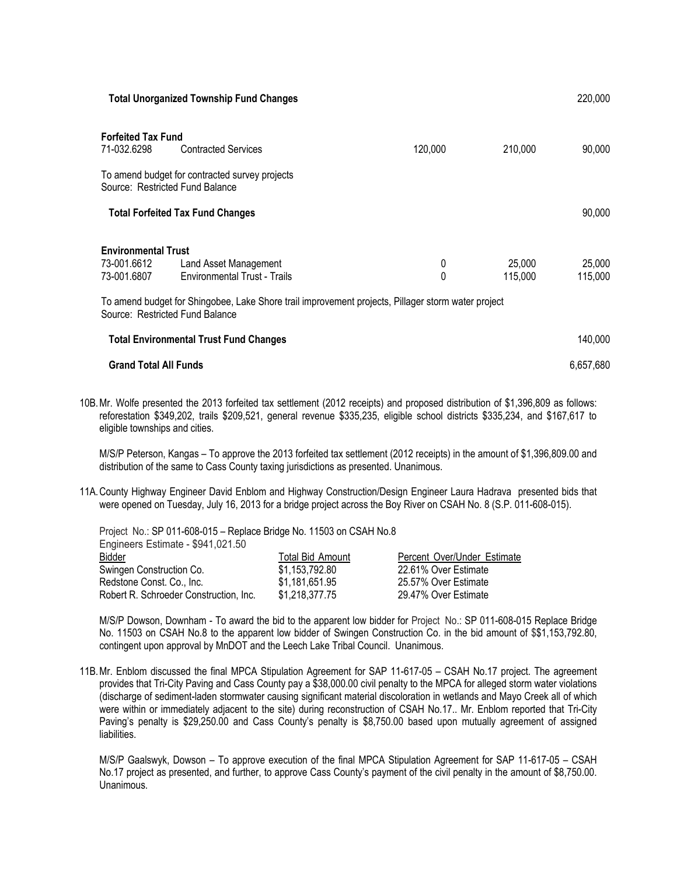|                                                                                                                                                                                                                                                                                                  | <b>Total Unorganized Township Fund Changes</b>                               |         |           | 220,000           |
|--------------------------------------------------------------------------------------------------------------------------------------------------------------------------------------------------------------------------------------------------------------------------------------------------|------------------------------------------------------------------------------|---------|-----------|-------------------|
| <b>Forfeited Tax Fund</b><br>71-032.6298<br>Source: Restricted Fund Balance                                                                                                                                                                                                                      | <b>Contracted Services</b><br>To amend budget for contracted survey projects | 120,000 | 210,000   | 90,000            |
|                                                                                                                                                                                                                                                                                                  | <b>Total Forfeited Tax Fund Changes</b>                                      |         |           | 90,000            |
| <b>Environmental Trust</b><br>73-001.6612<br>25,000<br>Land Asset Management<br>0<br>0<br><b>Environmental Trust - Trails</b><br>73-001.6807<br>115,000<br>To amend budget for Shingobee, Lake Shore trail improvement projects, Pillager storm water project<br>Source: Restricted Fund Balance |                                                                              |         |           | 25,000<br>115,000 |
|                                                                                                                                                                                                                                                                                                  | <b>Total Environmental Trust Fund Changes</b>                                |         |           | 140,000           |
| <b>Grand Total All Funds</b>                                                                                                                                                                                                                                                                     |                                                                              |         | 6,657,680 |                   |

10B.Mr. Wolfe presented the 2013 forfeited tax settlement (2012 receipts) and proposed distribution of \$1,396,809 as follows: reforestation \$349,202, trails \$209,521, general revenue \$335,235, eligible school districts \$335,234, and \$167,617 to eligible townships and cities.

M/S/P Peterson, Kangas – To approve the 2013 forfeited tax settlement (2012 receipts) in the amount of \$1,396,809.00 and distribution of the same to Cass County taxing jurisdictions as presented. Unanimous.

11A.County Highway Engineer David Enblom and Highway Construction/Design Engineer Laura Hadrava presented bids that were opened on Tuesday, July 16, 2013 for a [bridge project across the Boy River on CSAH No. 8](http://www.co.cass.mn.us/highway/pdfs/011-608-015.pdf) [\(S.P. 011-608-015\).](http://www.co.cass.mn.us/highway/pdfs/011-608-015.pdf) 

Project No.: SP 011-608-015 – Replace Bridge No. 11503 on CSAH No.8 Engineers Estimate - \$941,021.50 Bidder Total Bid Amount Percent Over/Under Estimate Swingen Construction Co.  $$1,153,792.80$  22.61% Over Estimate Redstone Const. Co., Inc.  $$1,181,651.95$  25.57% Over Estimate Robert R. Schroeder Construction, Inc. \$1,218,377.75 29.47% Over Estimate

M/S/P Dowson, Downham - To award the bid to the apparent low bidder for Project No.: SP 011-608-015 Replace Bridge No. 11503 on CSAH No.8 to the apparent low bidder of Swingen Construction Co. in the bid amount of \$\$1,153,792.80, contingent upon approval by MnDOT and the Leech Lake Tribal Council. Unanimous.

11B.Mr. Enblom discussed the final MPCA Stipulation Agreement for SAP 11-617-05 – CSAH No.17 project. The agreement provides that Tri-City Paving and Cass County pay a \$38,000.00 civil penalty to the MPCA for alleged storm water violations (discharge of sediment-laden stormwater causing significant material discoloration in wetlands and Mayo Creek all of which were within or immediately adjacent to the site) during reconstruction of CSAH No.17.. Mr. Enblom reported that Tri-City Paving's penalty is \$29,250.00 and Cass County's penalty is \$8,750.00 based upon mutually agreement of assigned liabilities.

M/S/P Gaalswyk, Dowson – To approve execution of the final MPCA Stipulation Agreement for SAP 11-617-05 – CSAH No.17 project as presented, and further, to approve Cass County's payment of the civil penalty in the amount of \$8,750.00. Unanimous.